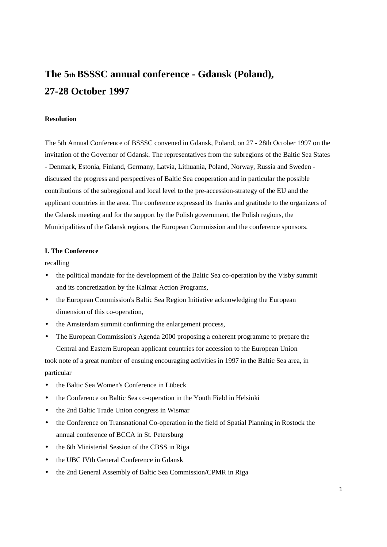# **The 5th BSSSC annual conference - Gdansk (Poland), 27-28 October 1997**

# **Resolution**

The 5th Annual Conference of BSSSC convened in Gdansk, Poland, on 27 - 28th October 1997 on the invitation of the Governor of Gdansk. The representatives from the subregions of the Baltic Sea States - Denmark, Estonia, Finland, Germany, Latvia, Lithuania, Poland, Norway, Russia and Sweden discussed the progress and perspectives of Baltic Sea cooperation and in particular the possible contributions of the subregional and local level to the pre-accession-strategy of the EU and the applicant countries in the area. The conference expressed its thanks and gratitude to the organizers of the Gdansk meeting and for the support by the Polish government, the Polish regions, the Municipalities of the Gdansk regions, the European Commission and the conference sponsors.

# **I. The Conference**

recalling

- the political mandate for the development of the Baltic Sea co-operation by the Visby summit and its concretization by the Kalmar Action Programs,
- the European Commission's Baltic Sea Region Initiative acknowledging the European dimension of this co-operation,
- the Amsterdam summit confirming the enlargement process,
- The European Commission's Agenda 2000 proposing a coherent programme to prepare the Central and Eastern European applicant countries for accession to the European Union

took note of a great number of ensuing encouraging activities in 1997 in the Baltic Sea area, in particular

- the Baltic Sea Women's Conference in Lübeck
- the Conference on Baltic Sea co-operation in the Youth Field in Helsinki
- the 2nd Baltic Trade Union congress in Wismar
- the Conference on Transnational Co-operation in the field of Spatial Planning in Rostock the annual conference of BCCA in St. Petersburg
- the 6th Ministerial Session of the CBSS in Riga
- the UBC IVth General Conference in Gdansk
- the 2nd General Assembly of Baltic Sea Commission/CPMR in Riga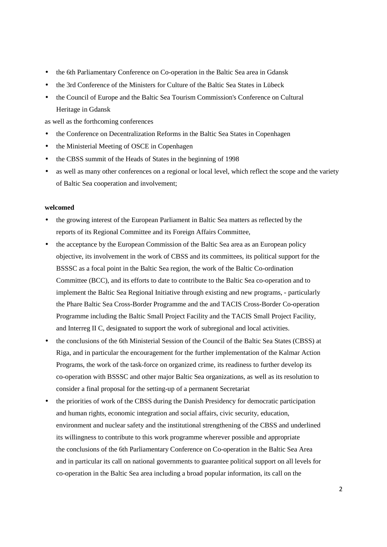- the 6th Parliamentary Conference on Co-operation in the Baltic Sea area in Gdansk
- the 3rd Conference of the Ministers for Culture of the Baltic Sea States in Lübeck
- the Council of Europe and the Baltic Sea Tourism Commission's Conference on Cultural Heritage in Gdansk

as well as the forthcoming conferences

- the Conference on Decentralization Reforms in the Baltic Sea States in Copenhagen
- the Ministerial Meeting of OSCE in Copenhagen
- the CBSS summit of the Heads of States in the beginning of 1998
- as well as many other conferences on a regional or local level, which reflect the scope and the variety of Baltic Sea cooperation and involvement;

#### **welcomed**

- the growing interest of the European Parliament in Baltic Sea matters as reflected by the reports of its Regional Committee and its Foreign Affairs Committee,
- the acceptance by the European Commission of the Baltic Sea area as an European policy objective, its involvement in the work of CBSS and its committees, its political support for the BSSSC as a focal point in the Baltic Sea region, the work of the Baltic Co-ordination Committee (BCC), and its efforts to date to contribute to the Baltic Sea co-operation and to implement the Baltic Sea Regional Initiative through existing and new programs, - particularly the Phare Baltic Sea Cross-Border Programme and the and TACIS Cross-Border Co-operation Programme including the Baltic Small Project Facility and the TACIS Small Project Facility, and Interreg II C, designated to support the work of subregional and local activities.
- the conclusions of the 6th Ministerial Session of the Council of the Baltic Sea States (CBSS) at Riga, and in particular the encouragement for the further implementation of the Kalmar Action Programs, the work of the task-force on organized crime, its readiness to further develop its co-operation with BSSSC and other major Baltic Sea organizations, as well as its resolution to consider a final proposal for the setting-up of a permanent Secretariat
- the priorities of work of the CBSS during the Danish Presidency for democratic participation and human rights, economic integration and social affairs, civic security, education, environment and nuclear safety and the institutional strengthening of the CBSS and underlined its willingness to contribute to this work programme wherever possible and appropriate the conclusions of the 6th Parliamentary Conference on Co-operation in the Baltic Sea Area and in particular its call on national governments to guarantee political support on all levels for co-operation in the Baltic Sea area including a broad popular information, its call on the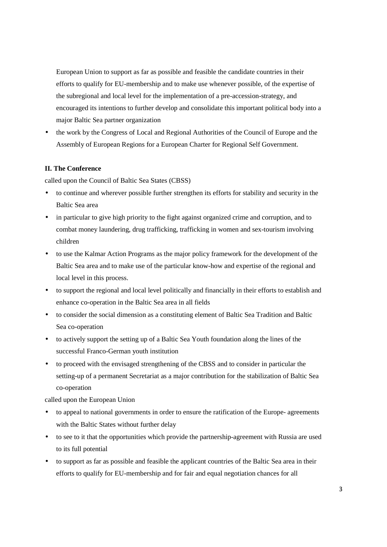European Union to support as far as possible and feasible the candidate countries in their efforts to qualify for EU-membership and to make use whenever possible, of the expertise of the subregional and local level for the implementation of a pre-accession-strategy, and encouraged its intentions to further develop and consolidate this important political body into a major Baltic Sea partner organization

• the work by the Congress of Local and Regional Authorities of the Council of Europe and the Assembly of European Regions for a European Charter for Regional Self Government.

### **II. The Conference**

called upon the Council of Baltic Sea States (CBSS)

- to continue and wherever possible further strengthen its efforts for stability and security in the Baltic Sea area
- in particular to give high priority to the fight against organized crime and corruption, and to combat money laundering, drug trafficking, trafficking in women and sex-tourism involving children
- to use the Kalmar Action Programs as the major policy framework for the development of the Baltic Sea area and to make use of the particular know-how and expertise of the regional and local level in this process.
- to support the regional and local level politically and financially in their efforts to establish and enhance co-operation in the Baltic Sea area in all fields
- to consider the social dimension as a constituting element of Baltic Sea Tradition and Baltic Sea co-operation
- to actively support the setting up of a Baltic Sea Youth foundation along the lines of the successful Franco-German youth institution
- to proceed with the envisaged strengthening of the CBSS and to consider in particular the setting-up of a permanent Secretariat as a major contribution for the stabilization of Baltic Sea co-operation

called upon the European Union

- to appeal to national governments in order to ensure the ratification of the Europe- agreements with the Baltic States without further delay
- to see to it that the opportunities which provide the partnership-agreement with Russia are used to its full potential
- to support as far as possible and feasible the applicant countries of the Baltic Sea area in their efforts to qualify for EU-membership and for fair and equal negotiation chances for all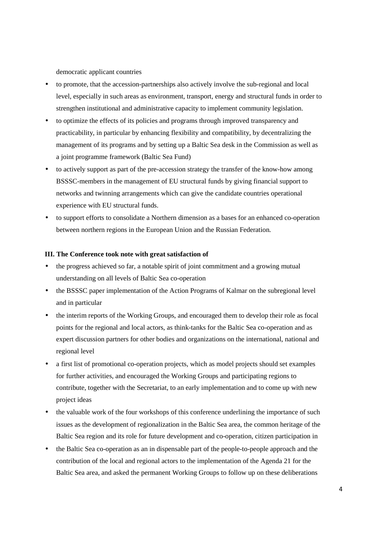democratic applicant countries

- to promote, that the accession-partnerships also actively involve the sub-regional and local level, especially in such areas as environment, transport, energy and structural funds in order to strengthen institutional and administrative capacity to implement community legislation.
- to optimize the effects of its policies and programs through improved transparency and practicability, in particular by enhancing flexibility and compatibility, by decentralizing the management of its programs and by setting up a Baltic Sea desk in the Commission as well as a joint programme framework (Baltic Sea Fund)
- to actively support as part of the pre-accession strategy the transfer of the know-how among BSSSC-members in the management of EU structural funds by giving financial support to networks and twinning arrangements which can give the candidate countries operational experience with EU structural funds.
- to support efforts to consolidate a Northern dimension as a bases for an enhanced co-operation between northern regions in the European Union and the Russian Federation.

## **III. The Conference took note with great satisfaction of**

- the progress achieved so far, a notable spirit of joint commitment and a growing mutual understanding on all levels of Baltic Sea co-operation
- the BSSSC paper implementation of the Action Programs of Kalmar on the subregional level and in particular
- the interim reports of the Working Groups, and encouraged them to develop their role as focal points for the regional and local actors, as think-tanks for the Baltic Sea co-operation and as expert discussion partners for other bodies and organizations on the international, national and regional level
- a first list of promotional co-operation projects, which as model projects should set examples for further activities, and encouraged the Working Groups and participating regions to contribute, together with the Secretariat, to an early implementation and to come up with new project ideas
- the valuable work of the four workshops of this conference underlining the importance of such issues as the development of regionalization in the Baltic Sea area, the common heritage of the Baltic Sea region and its role for future development and co-operation, citizen participation in
- the Baltic Sea co-operation as an in dispensable part of the people-to-people approach and the contribution of the local and regional actors to the implementation of the Agenda 21 for the Baltic Sea area, and asked the permanent Working Groups to follow up on these deliberations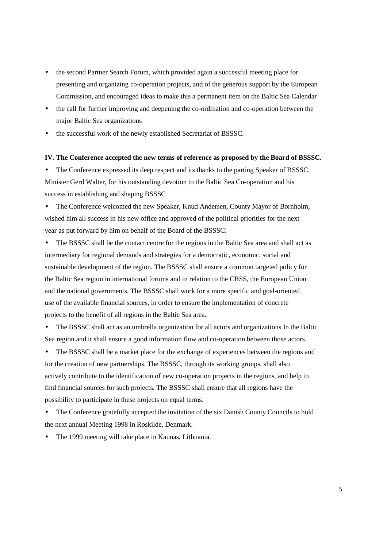- the second Partner Search Forum, which provided again a successful meeting place for presenting and organizing co-operation projects, and of the generous support by the European Commission, and encouraged ideas to make this a permanent item on the Baltic Sea Calendar
- the call for further improving and deepening the co-ordination and co-operation between the major Baltic Sea organizations
- the successful work of the newly established Secretariat of BSSSC.

#### **IV. The Conference accepted the new terms of reference as proposed by the Board of BSSSC.**

• The Conference expressed its deep respect and its thanks to the parting Speaker of BSSSC, Minister Gerd Walter, for his outstanding devotion to the Baltic Sea Co-operation and his success in establishing and shaping BSSSC

• The Conference welcomed the new Speaker, Knud Andersen, County Mayor of Bornholm, wished him all success in his new office and approved of the political priorities for the next year as put forward by him on behalf of the Board of the BSSSC:

• The BSSSC shall be the contact centre for the regions in the Baltic Sea area and shall act as intermediary for regional demands and strategies for a democratic, economic, social and sustainable development of the region. The BSSSC shall ensure a common targeted policy for the Baltic Sea region in international forums and in relation to the CBSS, the European Union and the national governments. The BSSSC shall work for a more specific and goal-oriented use of the available financial sources, in order to ensure the implementation of concrete projects to the benefit of all regions in the Baltic Sea area.

• The BSSSC shall act as an umbrella organization for all actors and organizations In the Baltic Sea region and it shall ensure a good information flow and co-operation between those actors.

The BSSSC shall be a market place for the exchange of experiences between the regions and for the creation of new partnerships. The BSSSC, through its working groups, shall also actively contribute to the identification of new co-operation projects in the regions, and help to find financial sources for such projects. The BSSSC shall ensure that all regions have the possibility to participate in these projects on equal terms.

• The Conference gratefully accepted the invitation of the six Danish County Councils to hold the next annual Meeting 1998 in Roskilde, Denmark.

The 1999 meeting will take place in Kaunas, Lithuania.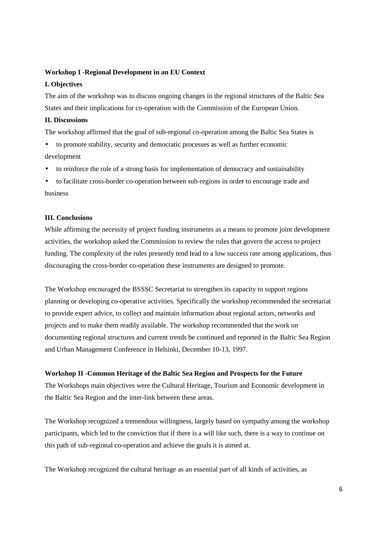## **Workshop I -Regional Development in an EU Context**

# **I. Objectives**

The aim of the workshop was to discuss ongoing changes in the regional structures of the Baltic Sea States and their implications for co-operation with the Commission of the European Union.

### **II. Discussions**

The workshop affirmed that the goal of sub-regional co-operation among the Baltic Sea States is

- to promote stability, security and democratic processes as well as further economic development
- to reinforce the role of a strong basis for implementation of democracy and sustainability
- to facilitate cross-border co-operation between sub-regions in order to encourage trade and business

## **III. Conclusions**

While affirming the necessity of project funding instruments as a means to promote joint development activities, the workshop asked the Commission to review the rules that govern the access to project funding. The complexity of the rules presently tend lead to a low success rate among applications, thus discouraging the cross-border co-operation these instruments are designed to promote.

The Workshop encouraged the BSSSC Secretariat to strengthen its capacity to support regions planning or developing co-operative activities. Specifically the workshop recommended the secretariat to provide expert advice, to collect and maintain information about regional actors, networks and projects and to make them readily available. The workshop recommended that the work on documenting regional structures and current trends be continued and reported in the Baltic Sea Region and Urban Management Conference in Helsinki, December 10-13, 1997.

#### **Workshop II -Common Heritage of the Baltic Sea Region and Prospects for the Future**

The Workshops main objectives were the Cultural Heritage, Tourism and Economic development in the Baltic Sea Region and the inter-link between these areas.

The Workshop recognized a tremendous willingness, largely based on sympathy among the workshop participants, which led to the conviction that if there is a will like such, there is a way to continue on this path of sub-regional co-operation and achieve the goals it is aimed at.

The Workshop recognized the cultural heritage as an essential part of all kinds of activities, as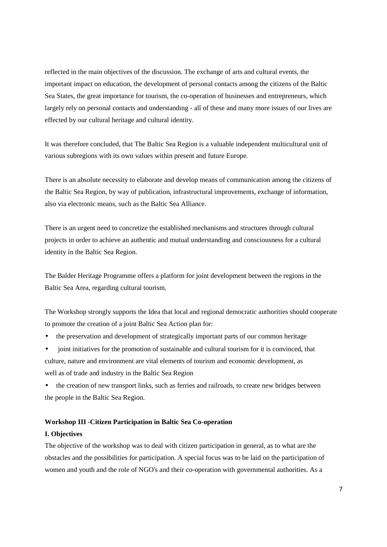reflected in the main objectives of the discussion. The exchange of arts and cultural events, the important impact on education, the development of personal contacts among the citizens of the Baltic Sea States, the great importance for tourism, the co-operation of businesses and entrepreneurs, which largely rely on personal contacts and understanding - all of these and many more issues of our lives are effected by our cultural heritage and cultural identity.

It was therefore concluded, that The Baltic Sea Region is a valuable independent multicultural unit of various subregions with its own values within present and future Europe.

There is an absolute necessity to elaborate and develop means of communication among the citizens of the Baltic Sea Region, by way of publication, infrastructural improvements, exchange of information, also via electronic means, such as the Baltic Sea Alliance.

There is an urgent need to concretize the established mechanisms and structures through cultural projects in order to achieve an authentic and mutual understanding and consciousness for a cultural identity in the Baltic Sea Region.

The Balder Heritage Programme offers a platform for joint development between the regions in the Baltic Sea Area, regarding cultural tourism.

The Workshop strongly supports the Idea that local and regional democratic authorities should cooperate to promote the creation of a joint Baltic Sea Action plan for:

- the preservation and development of strategically important parts of our common heritage
- joint initiatives for the promotion of sustainable and cultural tourism for it is convinced, that culture, nature and environment are vital elements of tourism and economic development, as well as of trade and industry in the Baltic Sea Region
- the creation of new transport links, such as ferries and railroads, to create new bridges between the people in the Baltic Sea Region.

#### **Workshop III -Citizen Participation in Baltic Sea Co-operation**

#### **I. Objectives**

The objective of the workshop was to deal with citizen participation in general, as to what are the obstacles and the possibilities for participation. A special focus was to be laid on the participation of women and youth and the role of NGO's and their co-operation with governmental authorities. As a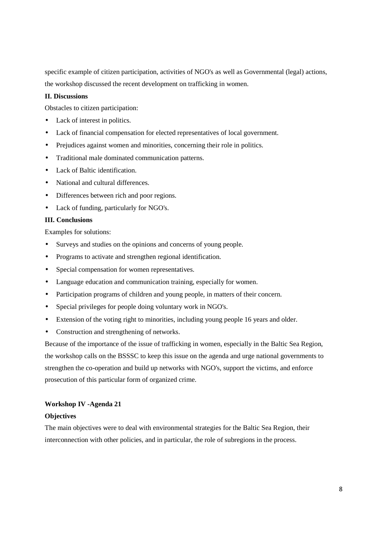specific example of citizen participation, activities of NGO's as well as Governmental (legal) actions, the workshop discussed the recent development on trafficking in women.

# **II. Discussions**

Obstacles to citizen participation:

- Lack of interest in politics.
- Lack of financial compensation for elected representatives of local government.
- Prejudices against women and minorities, concerning their role in politics.
- Traditional male dominated communication patterns.
- Lack of Baltic identification.
- National and cultural differences.
- Differences between rich and poor regions.
- Lack of funding, particularly for NGO's.

# **III. Conclusions**

Examples for solutions:

- Surveys and studies on the opinions and concerns of young people.
- Programs to activate and strengthen regional identification.
- Special compensation for women representatives.
- Language education and communication training, especially for women.
- Participation programs of children and young people, in matters of their concern.
- Special privileges for people doing voluntary work in NGO's.
- Extension of the voting right to minorities, including young people 16 years and older.
- Construction and strengthening of networks.

Because of the importance of the issue of trafficking in women, especially in the Baltic Sea Region, the workshop calls on the BSSSC to keep this issue on the agenda and urge national governments to strengthen the co-operation and build up networks with NGO's, support the victims, and enforce prosecution of this particular form of organized crime.

#### **Workshop IV -Agenda 21**

## **Objectives**

The main objectives were to deal with environmental strategies for the Baltic Sea Region, their interconnection with other policies, and in particular, the role of subregions in the process.